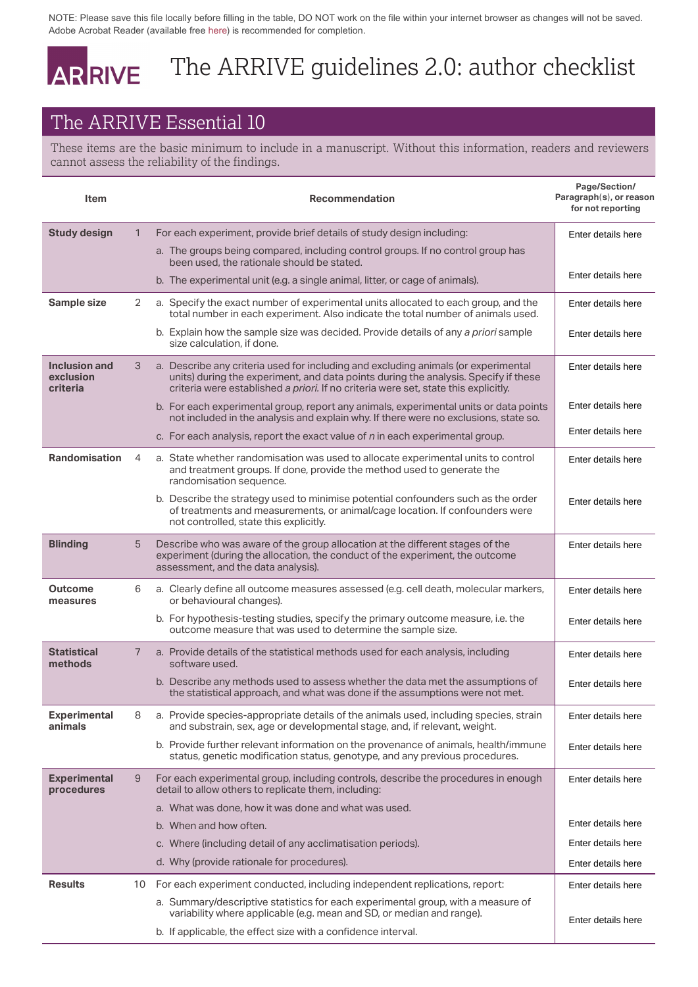Adobe Acrobat Reader (available free here) is recommended for completion.

## The ARRIVE guidelines 2.0: author checklist

## The ARRIVE Essential 10

|                                                                                                                                                                 |                | NOTE: Please save this file locally before filling in the table, DO NOT work on the file within your internet browser as changes will not be saved.<br>Adobe Acrobat Reader (available free here) is recommended for completion.                                 |                                                               |  |  |
|-----------------------------------------------------------------------------------------------------------------------------------------------------------------|----------------|------------------------------------------------------------------------------------------------------------------------------------------------------------------------------------------------------------------------------------------------------------------|---------------------------------------------------------------|--|--|
|                                                                                                                                                                 |                | The ARRIVE guidelines 2.0: author checklist                                                                                                                                                                                                                      |                                                               |  |  |
| <b>ARRIVE</b>                                                                                                                                                   |                |                                                                                                                                                                                                                                                                  |                                                               |  |  |
|                                                                                                                                                                 |                | The ARRIVE Essential 10                                                                                                                                                                                                                                          |                                                               |  |  |
| These items are the basic minimum to include in a manuscript. Without this information, readers and reviewers<br>cannot assess the reliability of the findings. |                |                                                                                                                                                                                                                                                                  |                                                               |  |  |
| <b>Item</b>                                                                                                                                                     |                | <b>Recommendation</b>                                                                                                                                                                                                                                            | Page/Section/<br>Paragraph(s), or reason<br>for not reporting |  |  |
| <b>Study design</b>                                                                                                                                             | $\mathbf{1}$   | For each experiment, provide brief details of study design including:                                                                                                                                                                                            | Enter details here                                            |  |  |
|                                                                                                                                                                 |                | a. The groups being compared, including control groups. If no control group has<br>been used, the rationale should be stated.                                                                                                                                    |                                                               |  |  |
|                                                                                                                                                                 |                | b. The experimental unit (e.g. a single animal, litter, or cage of animals).                                                                                                                                                                                     | Enter details here                                            |  |  |
| Sample size                                                                                                                                                     | 2              | a. Specify the exact number of experimental units allocated to each group, and the<br>total number in each experiment. Also indicate the total number of animals used.                                                                                           | Enter details here                                            |  |  |
|                                                                                                                                                                 |                | b. Explain how the sample size was decided. Provide details of any a priori sample<br>size calculation, if done.                                                                                                                                                 | Enter details here                                            |  |  |
| <b>Inclusion and</b><br>exclusion<br>criteria                                                                                                                   | 3              | a. Describe any criteria used for including and excluding animals (or experimental<br>units) during the experiment, and data points during the analysis. Specify if these<br>criteria were established a priori. If no criteria were set, state this explicitly. | Enter details here                                            |  |  |
|                                                                                                                                                                 |                | b. For each experimental group, report any animals, experimental units or data points<br>not included in the analysis and explain why. If there were no exclusions, state so.                                                                                    | Enter details here                                            |  |  |
|                                                                                                                                                                 |                | c. For each analysis, report the exact value of n in each experimental group.                                                                                                                                                                                    | Enter details here                                            |  |  |
| <b>Randomisation</b>                                                                                                                                            | 4              | a. State whether randomisation was used to allocate experimental units to control<br>and treatment groups. If done, provide the method used to generate the<br>randomisation sequence.                                                                           | Enter details here                                            |  |  |
|                                                                                                                                                                 |                | b. Describe the strategy used to minimise potential confounders such as the order<br>of treatments and measurements, or animal/cage location. If confounders were<br>not controlled, state this explicitly.                                                      | Enter details here                                            |  |  |
| <b>Blinding</b>                                                                                                                                                 | 5              | Describe who was aware of the group allocation at the different stages of the<br>experiment (during the allocation, the conduct of the experiment, the outcome<br>assessment, and the data analysis).                                                            | Enter details here                                            |  |  |
| <b>Outcome</b><br>measures                                                                                                                                      | 6              | a. Clearly define all outcome measures assessed (e.g. cell death, molecular markers,<br>or behavioural changes).                                                                                                                                                 | Enter details here                                            |  |  |
|                                                                                                                                                                 |                | b. For hypothesis-testing studies, specify the primary outcome measure, i.e. the<br>outcome measure that was used to determine the sample size.                                                                                                                  | Enter details here                                            |  |  |
| <b>Statistical</b><br>methods                                                                                                                                   | $\overline{7}$ | a. Provide details of the statistical methods used for each analysis, including<br>software used.                                                                                                                                                                | Enter details here                                            |  |  |
|                                                                                                                                                                 |                | b. Describe any methods used to assess whether the data met the assumptions of<br>the statistical approach, and what was done if the assumptions were not met.                                                                                                   | Enter details here                                            |  |  |
| <b>Experimental</b><br>animals                                                                                                                                  | 8              | a. Provide species-appropriate details of the animals used, including species, strain<br>and substrain, sex, age or developmental stage, and, if relevant, weight.                                                                                               | Enter details here                                            |  |  |
|                                                                                                                                                                 |                | b. Provide further relevant information on the provenance of animals, health/immune<br>status, genetic modification status, genotype, and any previous procedures.                                                                                               | Enter details here                                            |  |  |
| <b>Experimental</b><br>procedures                                                                                                                               | 9              | For each experimental group, including controls, describe the procedures in enough<br>detail to allow others to replicate them, including:                                                                                                                       | Enter details here                                            |  |  |
|                                                                                                                                                                 |                | a. What was done, how it was done and what was used.                                                                                                                                                                                                             |                                                               |  |  |
|                                                                                                                                                                 |                | b. When and how often.                                                                                                                                                                                                                                           | Enter details here                                            |  |  |
|                                                                                                                                                                 |                | c. Where (including detail of any acclimatisation periods).                                                                                                                                                                                                      | Enter details here                                            |  |  |
|                                                                                                                                                                 |                | d. Why (provide rationale for procedures).                                                                                                                                                                                                                       | Enter details here                                            |  |  |
| <b>Results</b>                                                                                                                                                  | 10             | For each experiment conducted, including independent replications, report:                                                                                                                                                                                       | Enter details here                                            |  |  |
|                                                                                                                                                                 |                | a. Summary/descriptive statistics for each experimental group, with a measure of<br>variability where applicable (e.g. mean and SD, or median and range).                                                                                                        | Enter details here                                            |  |  |
|                                                                                                                                                                 |                | b. If applicable, the effect size with a confidence interval.                                                                                                                                                                                                    |                                                               |  |  |